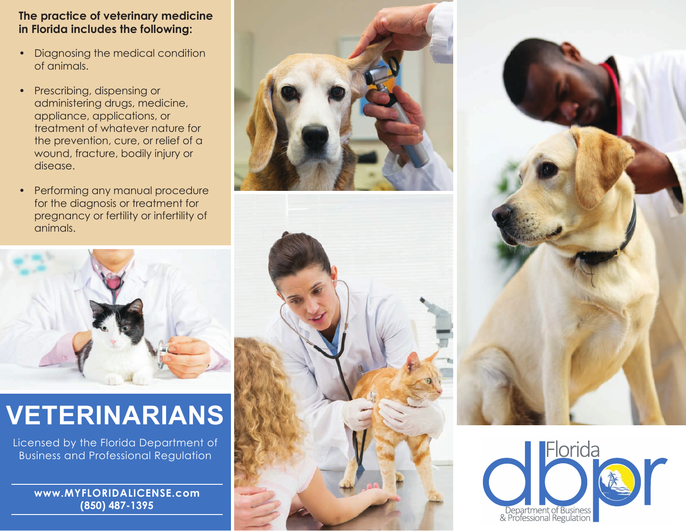### **The practice of veterinary medicine in Florida includes the following:**

- Diagnosing the medical condition of animals.
- Prescribing, dispensing or administering drugs, medicine, appliance, applications, or treatment of whatever nature for the prevention, cure, or relief of a wound, fracture, bodily injury or disease.
- Performing any manual procedure for the diagnosis or treatment for pregnancy or fertility or infertility of animals.



# **VETERINARIANS**

Licensed by the Florida Department of Business and Professional Regulation

**www.MYFLORIDALICENSE.com (850) 487-1395**